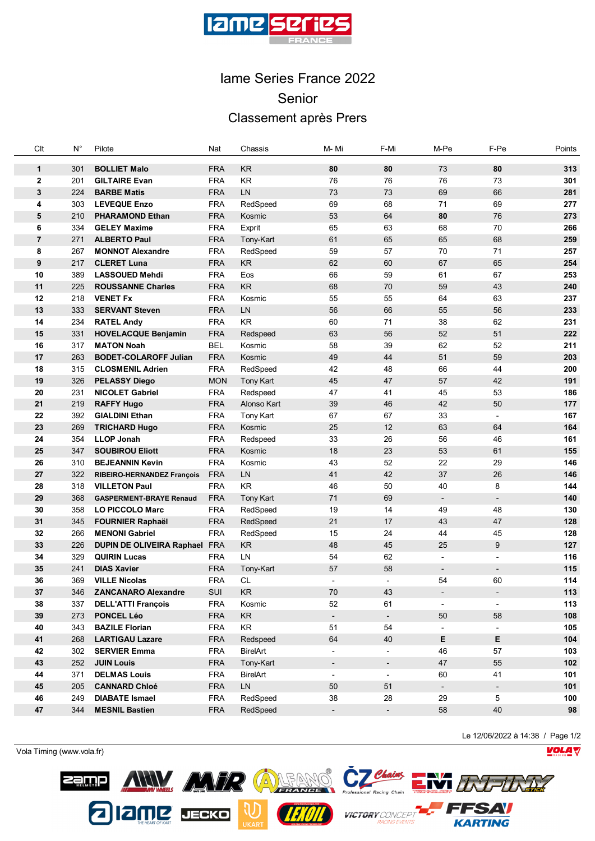

## Iame Series France 2022 Senior Classement après Prers

| Clt                            | $\mathsf{N}^\circ$ | Pilote                                      | Nat                      | Chassis                | M-Mi                     | F-Mi                     | M-Pe                     | F-Pe                     | Points     |
|--------------------------------|--------------------|---------------------------------------------|--------------------------|------------------------|--------------------------|--------------------------|--------------------------|--------------------------|------------|
|                                |                    |                                             |                          |                        |                          |                          |                          |                          |            |
| 1                              | 301<br>201         | <b>BOLLIET Malo</b><br><b>GILTAIRE Evan</b> | <b>FRA</b><br><b>FRA</b> | <b>KR</b><br><b>KR</b> | 80<br>76                 | 80<br>76                 | 73<br>76                 | 80                       | 313<br>301 |
| $\overline{2}$<br>$\mathbf{3}$ | 224                | <b>BARBE Matis</b>                          | <b>FRA</b>               | LN                     | 73                       | 73                       | 69                       | 73<br>66                 | 281        |
| 4                              | 303                | <b>LEVEQUE Enzo</b>                         | <b>FRA</b>               | RedSpeed               | 69                       | 68                       | 71                       | 69                       | 277        |
| 5                              | 210                | <b>PHARAMOND Ethan</b>                      | <b>FRA</b>               | Kosmic                 | 53                       | 64                       | 80                       | 76                       | 273        |
| 6                              | 334                | <b>GELEY Maxime</b>                         | <b>FRA</b>               | Exprit                 | 65                       | 63                       | 68                       | 70                       | 266        |
| $\overline{7}$                 | 271                | <b>ALBERTO Paul</b>                         | <b>FRA</b>               | Tony-Kart              | 61                       | 65                       | 65                       | 68                       | 259        |
| 8                              | 267                | <b>MONNOT Alexandre</b>                     | <b>FRA</b>               | RedSpeed               | 59                       | 57                       | 70                       | 71                       | 257        |
| 9                              | 217                | <b>CLERET Luna</b>                          | <b>FRA</b>               | KR                     | 62                       | 60                       | 67                       | 65                       | 254        |
| 10                             | 389                | <b>LASSOUED Mehdi</b>                       | <b>FRA</b>               | Eos                    | 66                       | 59                       | 61                       | 67                       | 253        |
| 11                             | 225                | <b>ROUSSANNE Charles</b>                    | <b>FRA</b>               | <b>KR</b>              | 68                       | 70                       | 59                       | 43                       | 240        |
| 12                             | 218                | <b>VENET Fx</b>                             | <b>FRA</b>               | Kosmic                 | 55                       | 55                       | 64                       | 63                       | 237        |
| 13                             | 333                | <b>SERVANT Steven</b>                       | <b>FRA</b>               | LN                     | 56                       | 66                       | 55                       | 56                       | 233        |
| 14                             | 234                | <b>RATEL Andy</b>                           | <b>FRA</b>               | <b>KR</b>              | 60                       | 71                       | 38                       | 62                       | 231        |
| 15                             | 331                | <b>HOVELACQUE Benjamin</b>                  | <b>FRA</b>               | Redspeed               | 63                       | 56                       | 52                       | 51                       | 222        |
| 16                             | 317                | <b>MATON Noah</b>                           | <b>BEL</b>               | Kosmic                 | 58                       | 39                       | 62                       | 52                       | 211        |
| 17                             | 263                | <b>BODET-COLAROFF Julian</b>                | <b>FRA</b>               | Kosmic                 | 49                       | 44                       | 51                       | 59                       | 203        |
| 18                             | 315                | <b>CLOSMENIL Adrien</b>                     | <b>FRA</b>               | RedSpeed               | 42                       | 48                       | 66                       | 44                       | 200        |
| 19                             | 326                | <b>PELASSY Diego</b>                        | <b>MON</b>               | <b>Tony Kart</b>       | 45                       | 47                       | 57                       | 42                       | 191        |
| 20                             | 231                | <b>NICOLET Gabriel</b>                      | <b>FRA</b>               | Redspeed               | 47                       | 41                       | 45                       | 53                       | 186        |
| 21                             | 219                | <b>RAFFY Hugo</b>                           | <b>FRA</b>               | Alonso Kart            | 39                       | 46                       | 42                       | 50                       | 177        |
| 22                             | 392                | <b>GIALDINI Ethan</b>                       | <b>FRA</b>               | <b>Tony Kart</b>       | 67                       | 67                       | 33                       | $\overline{\phantom{a}}$ | 167        |
| 23                             | 269                | <b>TRICHARD Hugo</b>                        | <b>FRA</b>               | Kosmic                 | 25                       | 12                       | 63                       | 64                       | 164        |
| 24                             | 354                | <b>LLOP Jonah</b>                           | <b>FRA</b>               | Redspeed               | 33                       | 26                       | 56                       | 46                       | 161        |
| 25                             | 347                | <b>SOUBIROU Eliott</b>                      | <b>FRA</b>               | Kosmic                 | 18                       | 23                       | 53                       | 61                       | 155        |
| 26                             | 310                | <b>BEJEANNIN Kevin</b>                      | <b>FRA</b>               | Kosmic                 | 43                       | 52                       | 22                       | 29                       | 146        |
| 27                             | 322                | RIBEIRO-HERNANDEZ François                  | <b>FRA</b>               | LN                     | 41                       | 42                       | 37                       | 26                       | 146        |
| 28                             | 318                | <b>VILLETON Paul</b>                        | <b>FRA</b>               | <b>KR</b>              | 46                       | 50                       | 40                       | 8                        | 144        |
| 29                             | 368                | <b>GASPERMENT-BRAYE Renaud</b>              | <b>FRA</b>               | <b>Tony Kart</b>       | 71                       | 69                       | $\overline{\phantom{a}}$ | $\overline{\phantom{a}}$ | 140        |
| 30                             | 358                | <b>LO PICCOLO Marc</b>                      | <b>FRA</b>               | RedSpeed               | 19                       | 14                       | 49                       | 48                       | 130        |
| 31                             | 345                | <b>FOURNIER Raphaël</b>                     | <b>FRA</b>               | RedSpeed               | 21                       | 17                       | 43                       | 47                       | 128        |
| 32                             | 266                | <b>MENONI Gabriel</b>                       | <b>FRA</b>               | RedSpeed               | 15                       | 24                       | 44                       | 45                       | 128        |
| 33                             | 226                | DUPIN DE OLIVEIRA Raphael FRA               |                          | KR                     | 48                       | 45                       | 25                       | 9                        | 127        |
| 34                             | 329                | <b>QUIRIN Lucas</b>                         | <b>FRA</b>               | LN                     | 54                       | 62                       | $\overline{\phantom{a}}$ | $\overline{\phantom{a}}$ | 116        |
| 35                             | 241                | <b>DIAS Xavier</b>                          | <b>FRA</b>               | Tony-Kart              | 57                       | 58                       | $\overline{\phantom{a}}$ | $\overline{\phantom{a}}$ | 115        |
| 36                             | 369                | <b>VILLE Nicolas</b>                        | <b>FRA</b>               | <b>CL</b>              |                          |                          | 54                       | 60                       | 114        |
| 37                             | 346                | <b>ZANCANARO Alexandre</b>                  | SUI                      | $\mathsf{KR}\xspace$   | $70\,$                   | 43                       |                          |                          | $113$      |
| 38                             | 337                | <b>DELL'ATTI François</b>                   | <b>FRA</b>               | Kosmic                 | 52                       | 61                       | $\overline{\phantom{a}}$ |                          | 113        |
| 39                             | 273                | PONCEL Léo                                  | <b>FRA</b>               | KR                     | $\overline{\phantom{a}}$ | $\blacksquare$           | 50                       | 58                       | 108        |
| 40                             | 343                | <b>BAZILE Florian</b>                       | <b>FRA</b>               | KR                     | 51                       | 54                       |                          |                          | 105        |
| 41                             | 268                | <b>LARTIGAU Lazare</b>                      | <b>FRA</b>               | Redspeed               | 64                       | 40                       | Е                        | Е                        | 104        |
| 42                             | 302                | <b>SERVIER Emma</b>                         | <b>FRA</b>               | <b>BirelArt</b>        |                          |                          | 46                       | 57                       | 103        |
| 43                             | 252                | <b>JUIN Louis</b>                           | <b>FRA</b>               | Tony-Kart              | $\overline{\phantom{a}}$ | $\overline{\phantom{a}}$ | 47                       | 55                       | 102        |
| 44                             | 371                | <b>DELMAS Louis</b>                         | <b>FRA</b>               | BirelArt               | $\overline{\phantom{0}}$ | $\overline{\phantom{a}}$ | 60                       | 41                       | 101        |
| 45                             | 205                | <b>CANNARD Chloé</b>                        | <b>FRA</b>               | LN                     | 50                       | 51                       | $\blacksquare$           | $\overline{\phantom{a}}$ | 101        |
| 46                             | 249                | <b>DIABATE Ismael</b>                       | <b>FRA</b>               | RedSpeed               | 38                       | 28                       | 29                       | 5                        | 100        |
| 47                             | 344                | <b>MESNIL Bastien</b>                       | <b>FRA</b>               | RedSpeed               | $\overline{\phantom{a}}$ | $\overline{\phantom{a}}$ | 58                       | 40                       | 98         |
|                                |                    |                                             |                          |                        |                          |                          |                          |                          |            |

Le 12/06/2022 à 14:38 / Page 1/2

**VOLA** 

Vola Timing (www.vola.fr)

**Zamp** 

212MP DECKO